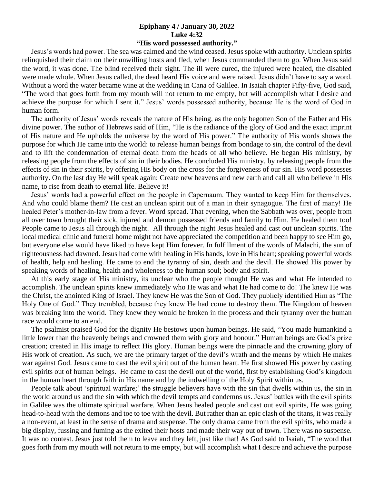## **Epiphany 4 / January 30, 2022 Luke 4:32**

## **"His word possessed authority."**

 Jesus's words had power. The sea was calmed and the wind ceased. Jesus spoke with authority. Unclean spirits relinquished their claim on their unwilling hosts and fled, when Jesus commanded them to go. When Jesus said the word, it was done. The blind received their sight. The ill were cured, the injured were healed, the disabled were made whole. When Jesus called, the dead heard His voice and were raised. Jesus didn't have to say a word. Without a word the water became wine at the wedding in Cana of Galilee. In Isaiah chapter Fifty-five, God said, "The word that goes forth from my mouth will not return to me empty, but will accomplish what I desire and achieve the purpose for which I sent it." Jesus' words possessed authority, because He is the word of God in human form.

 The authority of Jesus' words reveals the nature of His being, as the only begotten Son of the Father and His divine power. The author of Hebrews said of Him, "He is the radiance of the glory of God and the exact imprint of His nature and He upholds the universe by the word of His power." The authority of His words shows the purpose for which He came into the world: to release human beings from bondage to sin, the control of the devil and to lift the condemnation of eternal death from the heads of all who believe. He began His ministry, by releasing people from the effects of sin in their bodies. He concluded His ministry, by releasing people from the effects of sin in their spirits, by offering His body on the cross for the forgiveness of our sin. His word possesses authority. On the last day He will speak again: Create new heavens and new earth and call all who believe in His name, to rise from death to eternal life. Believe it!

 Jesus' words had a powerful effect on the people in Capernaum. They wanted to keep Him for themselves. And who could blame them? He cast an unclean spirit out of a man in their synagogue. The first of many! He healed Peter's mother-in-law from a fever. Word spread. That evening, when the Sabbath was over, people from all over town brought their sick, injured and demon possessed friends and family to Him. He healed them too! People came to Jesus all through the night. All through the night Jesus healed and cast out unclean spirits. The local medical clinic and funeral home might not have appreciated the competition and been happy to see Him go, but everyone else would have liked to have kept Him forever. In fulfillment of the words of Malachi, the sun of righteousness had dawned. Jesus had come with healing in His hands, love in His heart; speaking powerful words of health, help and healing. He came to end the tyranny of sin, death and the devil. He showed His power by speaking words of healing, health and wholeness to the human soul; body and spirit.

 At this early stage of His ministry, its unclear who the people thought He was and what He intended to accomplish. The unclean spirits knew immediately who He was and what He had come to do! The knew He was the Christ, the anointed King of Israel. They knew He was the Son of God. They publicly identified Him as "The Holy One of God." They trembled, because they knew He had come to destroy them. The Kingdom of heaven was breaking into the world. They knew they would be broken in the process and their tyranny over the human race would come to an end.

 The psalmist praised God for the dignity He bestows upon human beings. He said, "You made humankind a little lower than the heavenly beings and crowned them with glory and honour." Human beings are God's prize creation; created in His image to reflect His glory. Human beings were the pinnacle and the crowning glory of His work of creation. As such, we are the primary target of the devil's wrath and the means by which He makes war against God. Jesus came to cast the evil spirit out of the human heart. He first showed His power by casting evil spirits out of human beings. He came to cast the devil out of the world, first by establishing God's kingdom in the human heart through faith in His name and by the indwelling of the Holy Spirit within us.

 People talk about 'spiritual warfare;' the struggle believers have with the sin that dwells within us, the sin in the world around us and the sin with which the devil tempts and condemns us. Jesus' battles with the evil spirits in Galilee was the ultimate spiritual warfare. When Jesus healed people and cast out evil spirits, He was going head-to-head with the demons and toe to toe with the devil. But rather than an epic clash of the titans, it was really a non-event, at least in the sense of drama and suspense. The only drama came from the evil spirits, who made a big display, fussing and fuming as the exited their hosts and made their way out of town. There was no suspense. It was no contest. Jesus just told them to leave and they left, just like that! As God said to Isaiah, "The word that goes forth from my mouth will not return to me empty, but will accomplish what I desire and achieve the purpose